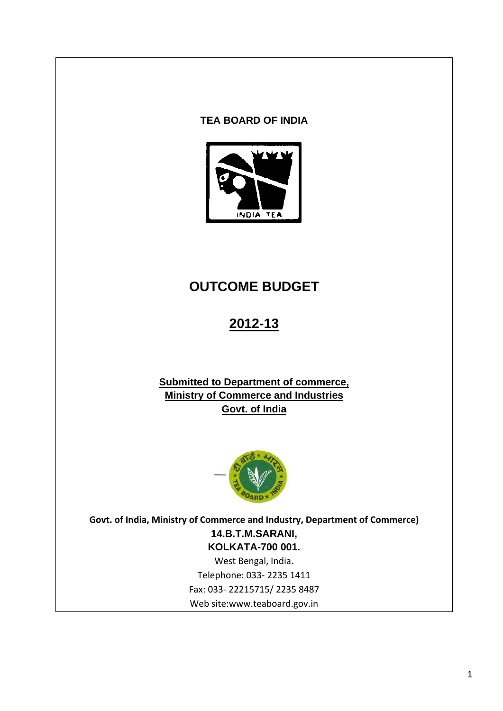## **TEA BOARD OF INDIA**



# **OUTCOME BUDGET**

# **2012-13**

# **Submitted to Department of commerce, Ministry of Commerce and Industries Govt. of India**



**Govt. of India, Ministry of Commerce and Industry, Department of Commerce) 14.B.T.M.SARANI, KOLKATA-700 001.** 

West Bengal, India. Telephone: 033‐ 2235 1411 Fax: 033‐ 22215715/ 2235 8487 Web site:www.teaboard.gov.in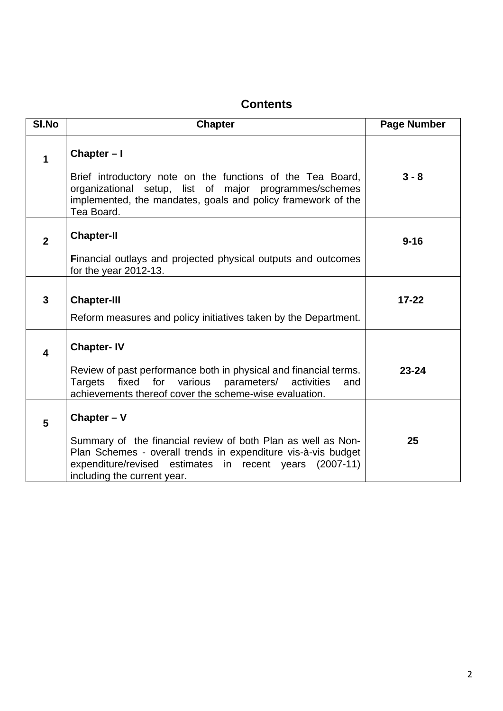# **Contents**

| SI.No                   | <b>Chapter</b>                                                                                                                                                                                                          | <b>Page Number</b> |
|-------------------------|-------------------------------------------------------------------------------------------------------------------------------------------------------------------------------------------------------------------------|--------------------|
| $\overline{\mathbf{1}}$ | Chapter-I                                                                                                                                                                                                               |                    |
|                         | Brief introductory note on the functions of the Tea Board,<br>organizational setup, list of major programmes/schemes<br>implemented, the mandates, goals and policy framework of the<br>Tea Board.                      | $3 - 8$            |
| $\overline{2}$          | <b>Chapter-II</b>                                                                                                                                                                                                       | $9 - 16$           |
|                         | Financial outlays and projected physical outputs and outcomes<br>for the year 2012-13.                                                                                                                                  |                    |
| $\mathbf{3}$            | <b>Chapter-III</b>                                                                                                                                                                                                      | $17 - 22$          |
|                         | Reform measures and policy initiatives taken by the Department.                                                                                                                                                         |                    |
| $\overline{\mathbf{4}}$ | <b>Chapter-IV</b>                                                                                                                                                                                                       |                    |
|                         | Review of past performance both in physical and financial terms.<br>fixed<br>for<br>various<br>parameters/<br><b>Targets</b><br>activities<br>and<br>achievements thereof cover the scheme-wise evaluation.             | $23 - 24$          |
| 5                       | Chapter $- V$                                                                                                                                                                                                           |                    |
|                         | Summary of the financial review of both Plan as well as Non-<br>Plan Schemes - overall trends in expenditure vis-à-vis budget<br>expenditure/revised estimates in recent years (2007-11)<br>including the current year. | 25                 |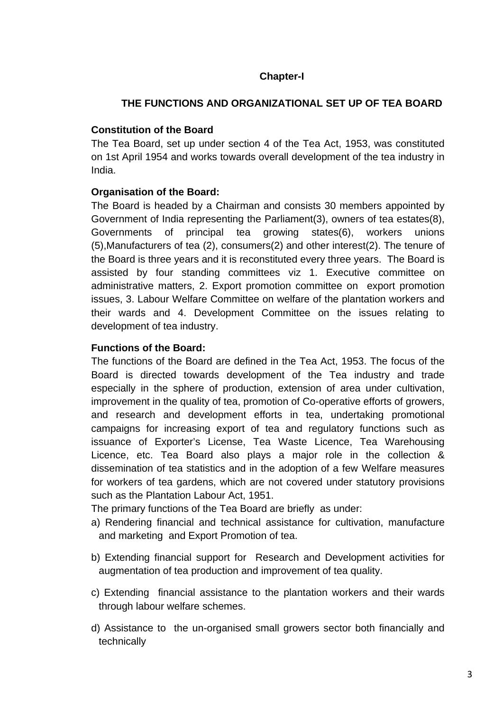# **Chapter-I**

# **THE FUNCTIONS AND ORGANIZATIONAL SET UP OF TEA BOARD**

### **Constitution of the Board**

The Tea Board, set up under section 4 of the Tea Act, 1953, was constituted on 1st April 1954 and works towards overall development of the tea industry in India.

### **Organisation of the Board:**

The Board is headed by a Chairman and consists 30 members appointed by Government of India representing the Parliament(3), owners of tea estates(8), Governments of principal tea growing states(6), workers unions (5),Manufacturers of tea (2), consumers(2) and other interest(2). The tenure of the Board is three years and it is reconstituted every three years. The Board is assisted by four standing committees viz 1. Executive committee on administrative matters, 2. Export promotion committee on export promotion issues, 3. Labour Welfare Committee on welfare of the plantation workers and their wards and 4. Development Committee on the issues relating to development of tea industry.

### **Functions of the Board:**

The functions of the Board are defined in the Tea Act, 1953. The focus of the Board is directed towards development of the Tea industry and trade especially in the sphere of production, extension of area under cultivation, improvement in the quality of tea, promotion of Co-operative efforts of growers, and research and development efforts in tea, undertaking promotional campaigns for increasing export of tea and regulatory functions such as issuance of Exporter's License, Tea Waste Licence, Tea Warehousing Licence, etc. Tea Board also plays a major role in the collection & dissemination of tea statistics and in the adoption of a few Welfare measures for workers of tea gardens, which are not covered under statutory provisions such as the Plantation Labour Act, 1951.

The primary functions of the Tea Board are briefly as under:

- a) Rendering financial and technical assistance for cultivation, manufacture and marketing and Export Promotion of tea.
- b) Extending financial support for Research and Development activities for augmentation of tea production and improvement of tea quality.
- c) Extending financial assistance to the plantation workers and their wards through labour welfare schemes.
- d) Assistance to the un-organised small growers sector both financially and technically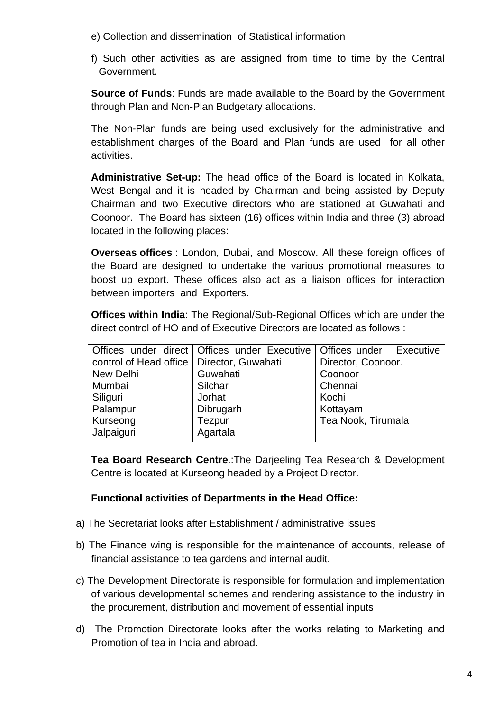- e) Collection and dissemination of Statistical information
- f) Such other activities as are assigned from time to time by the Central Government.

**Source of Funds**: Funds are made available to the Board by the Government through Plan and Non-Plan Budgetary allocations.

The Non-Plan funds are being used exclusively for the administrative and establishment charges of the Board and Plan funds are used for all other activities.

**Administrative Set-up:** The head office of the Board is located in Kolkata, West Bengal and it is headed by Chairman and being assisted by Deputy Chairman and two Executive directors who are stationed at Guwahati and Coonoor. The Board has sixteen (16) offices within India and three (3) abroad located in the following places:

 **Overseas offices** : London, Dubai, and Moscow. All these foreign offices of the Board are designed to undertake the various promotional measures to boost up export. These offices also act as a liaison offices for interaction between importers and Exporters.

 **Offices within India**: The Regional/Sub-Regional Offices which are under the direct control of HO and of Executive Directors are located as follows :

|                                             | Offices under direct   Offices under Executive | Offices under Executive |  |  |
|---------------------------------------------|------------------------------------------------|-------------------------|--|--|
| control of Head office   Director, Guwahati |                                                | Director, Coonoor.      |  |  |
| New Delhi                                   | Guwahati                                       | Coonoor                 |  |  |
| Mumbai                                      | Silchar                                        | Chennai                 |  |  |
| Siliguri                                    | Jorhat                                         | Kochi                   |  |  |
| Palampur                                    | Dibrugarh                                      | Kottayam                |  |  |
| Kurseong                                    | <b>Tezpur</b>                                  | Tea Nook, Tirumala      |  |  |
| Jalpaiguri                                  | Agartala                                       |                         |  |  |
|                                             |                                                |                         |  |  |

**Tea Board Research Centre**.:The Darjeeling Tea Research & Development Centre is located at Kurseong headed by a Project Director.

### **Functional activities of Departments in the Head Office:**

- a) The Secretariat looks after Establishment / administrative issues
- b) The Finance wing is responsible for the maintenance of accounts, release of financial assistance to tea gardens and internal audit.
- c) The Development Directorate is responsible for formulation and implementation of various developmental schemes and rendering assistance to the industry in the procurement, distribution and movement of essential inputs
- d) The Promotion Directorate looks after the works relating to Marketing and Promotion of tea in India and abroad.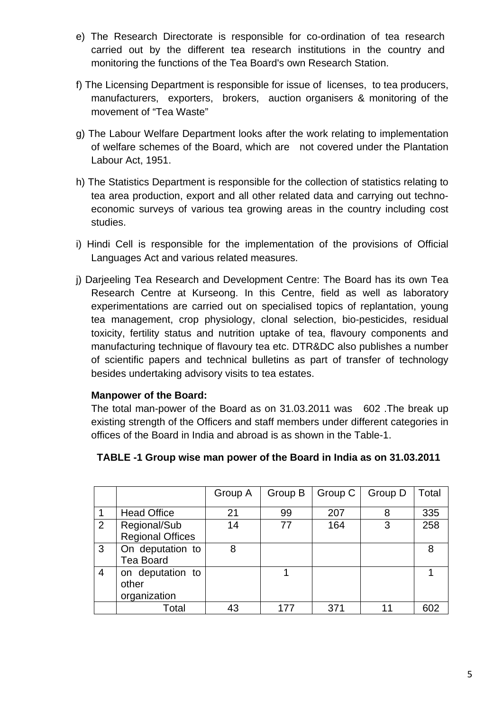- e) The Research Directorate is responsible for co-ordination of tea research carried out by the different tea research institutions in the country and monitoring the functions of the Tea Board's own Research Station.
- f) The Licensing Department is responsible for issue of licenses, to tea producers, manufacturers, exporters, brokers, auction organisers & monitoring of the movement of "Tea Waste"
- g) The Labour Welfare Department looks after the work relating to implementation of welfare schemes of the Board, which are not covered under the Plantation Labour Act, 1951.
- h) The Statistics Department is responsible for the collection of statistics relating to tea area production, export and all other related data and carrying out technoeconomic surveys of various tea growing areas in the country including cost studies.
- i) Hindi Cell is responsible for the implementation of the provisions of Official Languages Act and various related measures.
- j) Darjeeling Tea Research and Development Centre: The Board has its own Tea Research Centre at Kurseong. In this Centre, field as well as laboratory experimentations are carried out on specialised topics of replantation, young tea management, crop physiology, clonal selection, bio-pesticides, residual toxicity, fertility status and nutrition uptake of tea, flavoury components and manufacturing technique of flavoury tea etc. DTR&DC also publishes a number of scientific papers and technical bulletins as part of transfer of technology besides undertaking advisory visits to tea estates.

### **Manpower of the Board:**

The total man-power of the Board as on 31.03.2011 was 602 .The break up existing strength of the Officers and staff members under different categories in offices of the Board in India and abroad is as shown in the Table-1.

|   |                                           | Group A | Group B | Group C | Group D | Total |
|---|-------------------------------------------|---------|---------|---------|---------|-------|
|   | <b>Head Office</b>                        | 21      | 99      | 207     | 8       | 335   |
| 2 | Regional/Sub<br><b>Regional Offices</b>   | 14      | 77      | 164     | 3       | 258   |
| 3 | On deputation to<br><b>Tea Board</b>      | 8       |         |         |         | 8     |
| 4 | on deputation to<br>other<br>organization |         |         |         |         |       |
|   | Total                                     | 43      | 177     | 371     |         | 602   |

# **TABLE -1 Group wise man power of the Board in India as on 31.03.2011**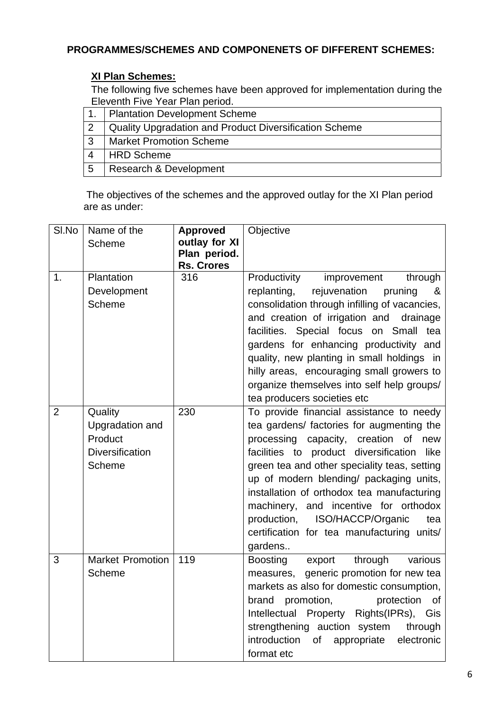# **PROGRAMMES/SCHEMES AND COMPONENETS OF DIFFERENT SCHEMES:**

# **XI Plan Schemes:**

The following five schemes have been approved for implementation during the Eleventh Five Year Plan period.

|    | <b>Plantation Development Scheme</b>                          |
|----|---------------------------------------------------------------|
|    | <b>Quality Upgradation and Product Diversification Scheme</b> |
| -3 | <b>Market Promotion Scheme</b>                                |
|    | <b>HRD Scheme</b>                                             |
| 5  | Research & Development                                        |

 The objectives of the schemes and the approved outlay for the XI Plan period are as under:

| SI.No          | Name of the             | <b>Approved</b>   | Objective                                              |
|----------------|-------------------------|-------------------|--------------------------------------------------------|
|                | Scheme                  | outlay for XI     |                                                        |
|                |                         | Plan period.      |                                                        |
|                |                         | <b>Rs. Crores</b> |                                                        |
| 1.             | Plantation              | 316               | Productivity<br>improvement<br>through                 |
|                | Development             |                   | replanting,<br>rejuvenation<br>pruning<br><u>&amp;</u> |
|                | Scheme                  |                   | consolidation through infilling of vacancies,          |
|                |                         |                   | and creation of irrigation and drainage                |
|                |                         |                   | facilities. Special focus on Small<br>tea              |
|                |                         |                   | gardens for enhancing productivity and                 |
|                |                         |                   | quality, new planting in small holdings in             |
|                |                         |                   | hilly areas, encouraging small growers to              |
|                |                         |                   | organize themselves into self help groups/             |
|                |                         |                   | tea producers societies etc                            |
| $\overline{2}$ | Quality                 | 230               | To provide financial assistance to needy               |
|                | Upgradation and         |                   | tea gardens/ factories for augmenting the              |
|                | Product                 |                   | processing capacity, creation of new                   |
|                | <b>Diversification</b>  |                   | facilities to product diversification<br>like          |
|                | Scheme                  |                   | green tea and other speciality teas, setting           |
|                |                         |                   | up of modern blending/ packaging units,                |
|                |                         |                   | installation of orthodox tea manufacturing             |
|                |                         |                   | machinery, and incentive for orthodox                  |
|                |                         |                   | production,<br>ISO/HACCP/Organic<br>tea                |
|                |                         |                   | certification for tea manufacturing units/             |
|                |                         |                   | gardens                                                |
| 3              | <b>Market Promotion</b> | 119               | Boosting<br>through<br>various<br>export               |
|                | Scheme                  |                   | generic promotion for new tea<br>measures,             |
|                |                         |                   | markets as also for domestic consumption,              |
|                |                         |                   | protection<br>brand<br>promotion,<br>Οf                |
|                |                         |                   | Intellectual Property Rights(IPRs), Gis                |
|                |                         |                   | strengthening auction system<br>through                |
|                |                         |                   | introduction<br>of<br>appropriate<br>electronic        |
|                |                         |                   | format etc                                             |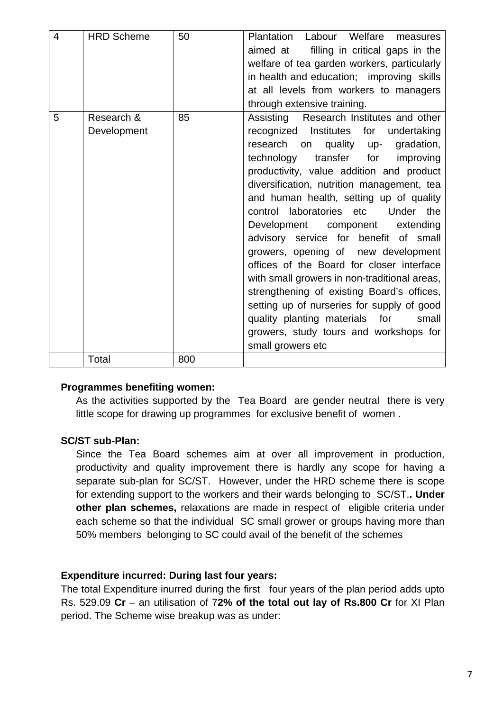| $\overline{4}$ | <b>HRD Scheme</b>         | 50  | Plantation Labour Welfare measures<br>aimed at filling in critical gaps in the<br>welfare of tea garden workers, particularly<br>in health and education; improving skills<br>at all levels from workers to managers<br>through extensive training.                                                                                                                                                                                                                                                                                                                                                                                                                                                                                                                         |
|----------------|---------------------------|-----|-----------------------------------------------------------------------------------------------------------------------------------------------------------------------------------------------------------------------------------------------------------------------------------------------------------------------------------------------------------------------------------------------------------------------------------------------------------------------------------------------------------------------------------------------------------------------------------------------------------------------------------------------------------------------------------------------------------------------------------------------------------------------------|
| 5              | Research &<br>Development | 85  | Assisting Research Institutes and other<br>recognized Institutes for<br>undertaking<br>research on<br>quality up- gradation,<br>technology transfer for<br>improving<br>productivity, value addition and product<br>diversification, nutrition management, tea<br>and human health, setting up of quality<br>the<br>control laboratories etc<br>Under<br>Development component extending<br>advisory service for benefit of small<br>growers, opening of new development<br>offices of the Board for closer interface<br>with small growers in non-traditional areas,<br>strengthening of existing Board's offices,<br>setting up of nurseries for supply of good<br>quality planting materials for<br>small<br>growers, study tours and workshops for<br>small growers etc |
|                | Total                     | 800 |                                                                                                                                                                                                                                                                                                                                                                                                                                                                                                                                                                                                                                                                                                                                                                             |

### **Programmes benefiting women:**

As the activities supported by the Tea Board are gender neutral there is very little scope for drawing up programmes for exclusive benefit of women .

### **SC/ST sub-Plan:**

Since the Tea Board schemes aim at over all improvement in production, productivity and quality improvement there is hardly any scope for having a separate sub-plan for SC/ST. However, under the HRD scheme there is scope for extending support to the workers and their wards belonging to SC/ST.**. Under other plan schemes,** relaxations are made in respect of eligible criteria under each scheme so that the individual SC small grower or groups having more than 50% members belonging to SC could avail of the benefit of the schemes

### **Expenditure incurred: During last four years:**

The total Expenditure inurred during the first four years of the plan period adds upto Rs. 529.09 **Cr** – an utilisation of 7**2% of the total out lay of Rs.800 Cr** for XI Plan period. The Scheme wise breakup was as under: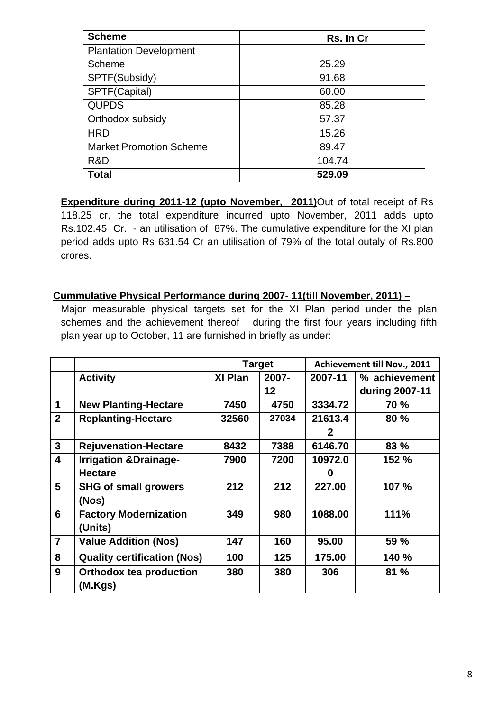| <b>Scheme</b>                  | Rs. In Cr |
|--------------------------------|-----------|
| <b>Plantation Development</b>  |           |
| <b>Scheme</b>                  | 25.29     |
| SPTF(Subsidy)                  | 91.68     |
| SPTF(Capital)                  | 60.00     |
| <b>QUPDS</b>                   | 85.28     |
| Orthodox subsidy               | 57.37     |
| <b>HRD</b>                     | 15.26     |
| <b>Market Promotion Scheme</b> | 89.47     |
| R&D                            | 104.74    |
| Total                          | 529.09    |

**Expenditure during 2011-12 (upto November, 2011)**Out of total receipt of Rs 118.25 cr, the total expenditure incurred upto November, 2011 adds upto Rs.102.45 Cr. - an utilisation of 87%. The cumulative expenditure for the XI plan period adds upto Rs 631.54 Cr an utilisation of 79% of the total outaly of Rs.800 crores.

### **Cummulative Physical Performance during 2007- 11(till November, 2011) –**

Major measurable physical targets set for the XI Plan period under the plan schemes and the achievement thereof during the first four years including fifth plan year up to October, 11 are furnished in briefly as under:

|                         |                                    |         | <b>Target</b> | Achievement till Nov., 2011 |                |  |
|-------------------------|------------------------------------|---------|---------------|-----------------------------|----------------|--|
|                         | <b>Activity</b>                    | XI Plan | $2007 -$      | 2007-11                     | % achievement  |  |
|                         |                                    |         | 12            |                             | during 2007-11 |  |
| 1                       | <b>New Planting-Hectare</b>        | 7450    | 4750          | 3334.72                     | <b>70 %</b>    |  |
| $\overline{2}$          | <b>Replanting-Hectare</b>          | 32560   | 27034         | 21613.4                     | 80 %           |  |
|                         |                                    |         |               | 2                           |                |  |
| $\mathbf{3}$            | <b>Rejuvenation-Hectare</b>        | 8432    | 7388          | 6146.70                     | 83 %           |  |
| $\overline{\mathbf{4}}$ | <b>Irrigation &amp;Drainage-</b>   | 7900    | 7200          | 10972.0                     | 152 %          |  |
|                         | <b>Hectare</b>                     |         |               | 0                           |                |  |
| $5\phantom{.0}$         | <b>SHG of small growers</b>        | 212     | 212           | 227.00                      | 107 %          |  |
|                         | (Nos)                              |         |               |                             |                |  |
| 6                       | <b>Factory Modernization</b>       | 349     | 980           | 1088.00                     | 111%           |  |
|                         | (Units)                            |         |               |                             |                |  |
| $\overline{7}$          | <b>Value Addition (Nos)</b>        | 147     | 160           | 95.00                       | 59 %           |  |
| 8                       | <b>Quality certification (Nos)</b> | 100     | 125           | 175.00                      | 140 %          |  |
| 9                       | <b>Orthodox tea production</b>     | 380     | 380           | 306                         | 81%            |  |
|                         | (M.Kgs)                            |         |               |                             |                |  |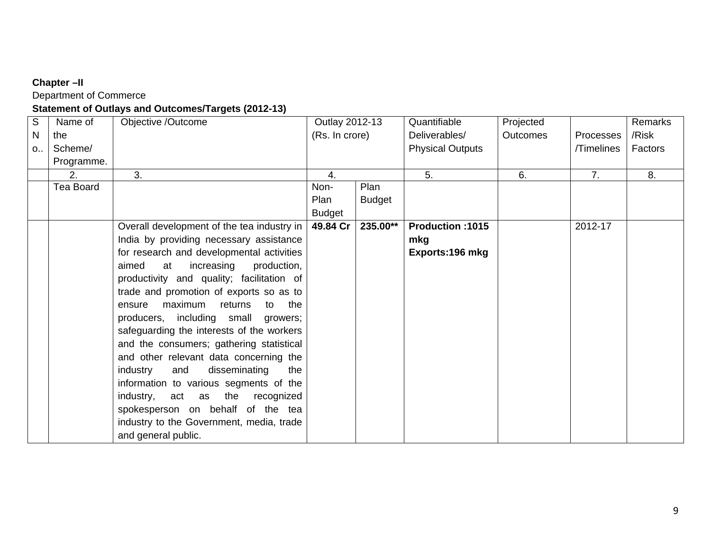# **Chapter –II**

Department of Commerce

# **Statement of Outlays and Outcomes/Targets (2012-13)**

| $\mathsf{S}$ | Name of          | Objective /Outcome                         | Outlay 2012-13   |               | Quantifiable            | Projected       |                | Remarks |
|--------------|------------------|--------------------------------------------|------------------|---------------|-------------------------|-----------------|----------------|---------|
| N            | the              |                                            | (Rs. In crore)   |               | Deliverables/           | <b>Outcomes</b> | Processes      | /Risk   |
| $O_{11}$     | Scheme/          |                                            |                  |               | <b>Physical Outputs</b> |                 | /Timelines     | Factors |
|              | Programme.       |                                            |                  |               |                         |                 |                |         |
|              | 2.               | 3.                                         | $\overline{4}$ . |               | 5.                      | 6.              | 7 <sub>1</sub> | 8.      |
|              | <b>Tea Board</b> |                                            | Non-             | Plan          |                         |                 |                |         |
|              |                  |                                            | Plan             | <b>Budget</b> |                         |                 |                |         |
|              |                  |                                            | <b>Budget</b>    |               |                         |                 |                |         |
|              |                  | Overall development of the tea industry in | 49.84 Cr         | 235.00**      | Production: 1015        |                 | 2012-17        |         |
|              |                  | India by providing necessary assistance    |                  |               | mkg                     |                 |                |         |
|              |                  | for research and developmental activities  |                  |               | Exports: 196 mkg        |                 |                |         |
|              |                  | aimed<br>increasing<br>production,<br>at   |                  |               |                         |                 |                |         |
|              |                  | productivity and quality; facilitation of  |                  |               |                         |                 |                |         |
|              |                  | trade and promotion of exports so as to    |                  |               |                         |                 |                |         |
|              |                  | maximum<br>returns<br>to<br>the<br>ensure  |                  |               |                         |                 |                |         |
|              |                  | producers, including small growers;        |                  |               |                         |                 |                |         |
|              |                  | safeguarding the interests of the workers  |                  |               |                         |                 |                |         |
|              |                  | and the consumers; gathering statistical   |                  |               |                         |                 |                |         |
|              |                  | and other relevant data concerning the     |                  |               |                         |                 |                |         |
|              |                  | industry<br>and<br>disseminating<br>the    |                  |               |                         |                 |                |         |
|              |                  | information to various segments of the     |                  |               |                         |                 |                |         |
|              |                  | the<br>industry,<br>act as<br>recognized   |                  |               |                         |                 |                |         |
|              |                  | spokesperson on behalf of the tea          |                  |               |                         |                 |                |         |
|              |                  | industry to the Government, media, trade   |                  |               |                         |                 |                |         |
|              |                  | and general public.                        |                  |               |                         |                 |                |         |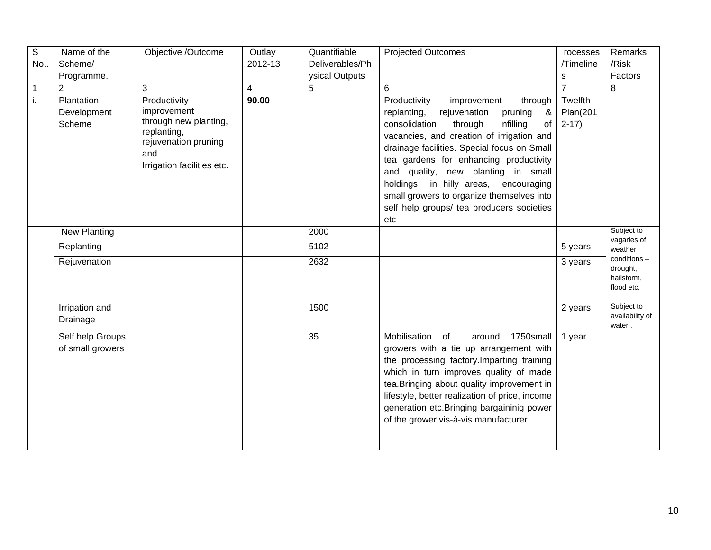| $\mathbb S$ | Name of the                          | Objective /Outcome                                                                                                               | Outlay         | Quantifiable    | <b>Projected Outcomes</b>                                                                                                                                                                                                                                                                                                                                                                                                                                 | rocesses                      | Remarks                                             |
|-------------|--------------------------------------|----------------------------------------------------------------------------------------------------------------------------------|----------------|-----------------|-----------------------------------------------------------------------------------------------------------------------------------------------------------------------------------------------------------------------------------------------------------------------------------------------------------------------------------------------------------------------------------------------------------------------------------------------------------|-------------------------------|-----------------------------------------------------|
| No          | Scheme/                              |                                                                                                                                  | 2012-13        | Deliverables/Ph |                                                                                                                                                                                                                                                                                                                                                                                                                                                           | /Timeline                     | /Risk                                               |
|             | Programme.                           |                                                                                                                                  |                | ysical Outputs  |                                                                                                                                                                                                                                                                                                                                                                                                                                                           | s                             | Factors                                             |
| 1           | $\overline{2}$                       | 3                                                                                                                                | $\overline{4}$ | 5               | 6                                                                                                                                                                                                                                                                                                                                                                                                                                                         | $\overline{7}$                | 8                                                   |
| i.          | Plantation<br>Development<br>Scheme  | Productivity<br>improvement<br>through new planting,<br>replanting,<br>rejuvenation pruning<br>and<br>Irrigation facilities etc. | 90.00          |                 | Productivity<br>improvement<br>through<br>rejuvenation<br>&<br>replanting,<br>pruning<br>consolidation<br>infilling<br>through<br>of<br>vacancies, and creation of irrigation and<br>drainage facilities. Special focus on Small<br>tea gardens for enhancing productivity<br>and quality, new planting in small<br>holdings in hilly areas, encouraging<br>small growers to organize themselves into<br>self help groups/ tea producers societies<br>etc | Twelfth<br>Plan(201<br>$2-17$ |                                                     |
|             | <b>New Planting</b>                  |                                                                                                                                  |                | 2000            |                                                                                                                                                                                                                                                                                                                                                                                                                                                           |                               | Subject to                                          |
|             | Replanting                           |                                                                                                                                  |                | 5102            |                                                                                                                                                                                                                                                                                                                                                                                                                                                           | 5 years                       | vagaries of<br>weather                              |
|             | Rejuvenation                         |                                                                                                                                  |                | 2632            |                                                                                                                                                                                                                                                                                                                                                                                                                                                           | 3 years                       | conditions-<br>drought,<br>hailstorm,<br>flood etc. |
|             | Irrigation and<br>Drainage           |                                                                                                                                  |                | 1500            |                                                                                                                                                                                                                                                                                                                                                                                                                                                           | 2 years                       | Subject to<br>availability of<br>water.             |
|             | Self help Groups<br>of small growers |                                                                                                                                  |                | 35              | Mobilisation<br>of<br>1750small<br>around<br>growers with a tie up arrangement with<br>the processing factory. Imparting training<br>which in turn improves quality of made<br>tea. Bringing about quality improvement in<br>lifestyle, better realization of price, income<br>generation etc. Bringing bargaininig power<br>of the grower vis-à-vis manufacturer.                                                                                        | 1 year                        |                                                     |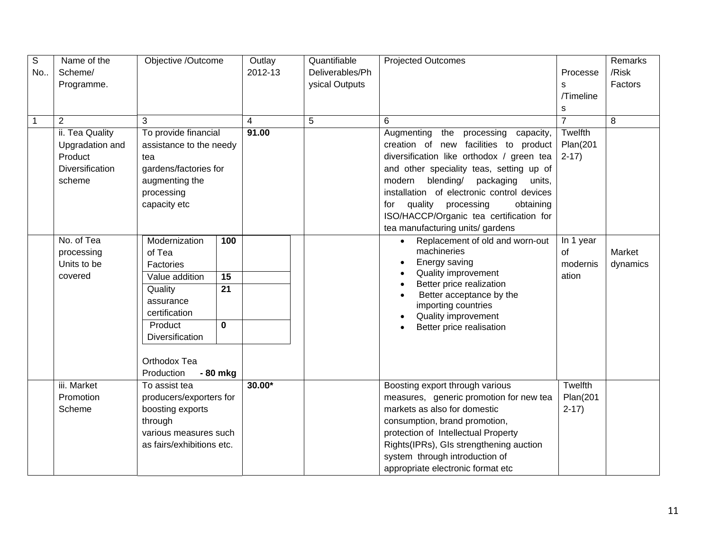| $\mathsf S$ | Name of the            | Objective /Outcome                | Outlay         | Quantifiable    | <b>Projected Outcomes</b>                            |                | Remarks  |
|-------------|------------------------|-----------------------------------|----------------|-----------------|------------------------------------------------------|----------------|----------|
| No          | Scheme/                |                                   | 2012-13        | Deliverables/Ph |                                                      | Processe       | /Risk    |
|             | Programme.             |                                   |                | ysical Outputs  |                                                      | S              | Factors  |
|             |                        |                                   |                |                 |                                                      | /Timeline      |          |
|             |                        |                                   |                |                 |                                                      | s              |          |
| 1           | $\overline{2}$         | 3                                 | $\overline{4}$ | 5               | 6                                                    | $\overline{7}$ | 8        |
|             | ii. Tea Quality        | To provide financial              | 91.00          |                 | Augmenting<br>the<br>processing<br>capacity,         | Twelfth        |          |
|             | Upgradation and        | assistance to the needy           |                |                 | creation of new facilities to product                | Plan(201       |          |
|             | Product                | tea                               |                |                 | diversification like orthodox / green tea            | $2-17$         |          |
|             | <b>Diversification</b> | gardens/factories for             |                |                 | and other speciality teas, setting up of             |                |          |
|             | scheme                 | augmenting the                    |                |                 | blending/<br>modern<br>packaging<br>units,           |                |          |
|             |                        | processing                        |                |                 | installation of electronic control devices           |                |          |
|             |                        | capacity etc                      |                |                 | quality processing<br>obtaining<br>for               |                |          |
|             |                        |                                   |                |                 | ISO/HACCP/Organic tea certification for              |                |          |
|             |                        |                                   |                |                 | tea manufacturing units/ gardens                     |                |          |
|             | No. of Tea             | Modernization<br>100              |                |                 | Replacement of old and worn-out                      | In 1 year      |          |
|             | processing             | of Tea                            |                |                 | machineries                                          | of             | Market   |
|             | Units to be            | Factories                         |                |                 | Energy saving                                        | modernis       | dynamics |
|             | covered                | Value addition<br>$\overline{15}$ |                |                 | Quality improvement                                  | ation          |          |
|             |                        | $\overline{21}$<br>Quality        |                |                 | Better price realization<br>Better acceptance by the |                |          |
|             |                        | assurance                         |                |                 | importing countries                                  |                |          |
|             |                        | certification                     |                |                 | Quality improvement                                  |                |          |
|             |                        | Product<br>$\mathbf 0$            |                |                 | Better price realisation                             |                |          |
|             |                        | Diversification                   |                |                 |                                                      |                |          |
|             |                        |                                   |                |                 |                                                      |                |          |
|             |                        | Orthodox Tea                      |                |                 |                                                      |                |          |
|             |                        | Production<br>- 80 mkg            |                |                 |                                                      |                |          |
|             | iii. Market            | To assist tea                     | $30.00*$       |                 | Boosting export through various                      | Twelfth        |          |
|             | Promotion              | producers/exporters for           |                |                 | measures, generic promotion for new tea              | Plan(201       |          |
|             | Scheme                 | boosting exports                  |                |                 | markets as also for domestic                         | $2-17)$        |          |
|             |                        | through                           |                |                 | consumption, brand promotion,                        |                |          |
|             |                        | various measures such             |                |                 | protection of Intellectual Property                  |                |          |
|             |                        | as fairs/exhibitions etc.         |                |                 | Rights(IPRs), GIs strengthening auction              |                |          |
|             |                        |                                   |                |                 | system through introduction of                       |                |          |
|             |                        |                                   |                |                 | appropriate electronic format etc                    |                |          |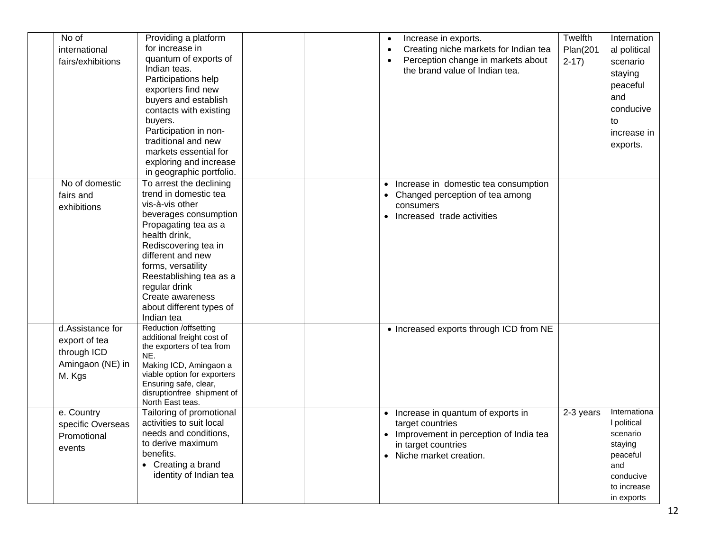| No of<br>international<br>fairs/exhibitions                                    | Providing a platform<br>for increase in<br>quantum of exports of<br>Indian teas.<br>Participations help<br>exporters find new<br>buyers and establish<br>contacts with existing<br>buyers.<br>Participation in non-<br>traditional and new<br>markets essential for<br>exploring and increase<br>in geographic portfolio. |  | Increase in exports.<br>Creating niche markets for Indian tea<br>Perception change in markets about<br>the brand value of Indian tea.                | Twelfth<br><b>Plan(201</b><br>$2-17$ | Internation<br>al political<br>scenario<br>staying<br>peaceful<br>and<br>conducive<br>to<br>increase in<br>exports. |
|--------------------------------------------------------------------------------|---------------------------------------------------------------------------------------------------------------------------------------------------------------------------------------------------------------------------------------------------------------------------------------------------------------------------|--|------------------------------------------------------------------------------------------------------------------------------------------------------|--------------------------------------|---------------------------------------------------------------------------------------------------------------------|
| No of domestic<br>fairs and<br>exhibitions                                     | To arrest the declining<br>trend in domestic tea<br>vis-à-vis other<br>beverages consumption<br>Propagating tea as a<br>health drink,<br>Rediscovering tea in<br>different and new<br>forms, versatility<br>Reestablishing tea as a<br>regular drink<br>Create awareness<br>about different types of<br>Indian tea        |  | • Increase in domestic tea consumption<br>Changed perception of tea among<br>consumers<br>Increased trade activities<br>$\bullet$                    |                                      |                                                                                                                     |
| d.Assistance for<br>export of tea<br>through ICD<br>Amingaon (NE) in<br>M. Kgs | Reduction /offsetting<br>additional freight cost of<br>the exporters of tea from<br>NE.<br>Making ICD, Amingaon a<br>viable option for exporters<br>Ensuring safe, clear,<br>disruptionfree shipment of<br>North East teas.                                                                                               |  | • Increased exports through ICD from NE                                                                                                              |                                      |                                                                                                                     |
| e. Country<br>specific Overseas<br>Promotional<br>events                       | Tailoring of promotional<br>activities to suit local<br>needs and conditions,<br>to derive maximum<br>benefits.<br>• Creating a brand<br>identity of Indian tea                                                                                                                                                           |  | • Increase in quantum of exports in<br>target countries<br>Improvement in perception of India tea<br>in target countries<br>• Niche market creation. | 2-3 years                            | Internationa<br>I political<br>scenario<br>staying<br>peaceful<br>and<br>conducive<br>to increase<br>in exports     |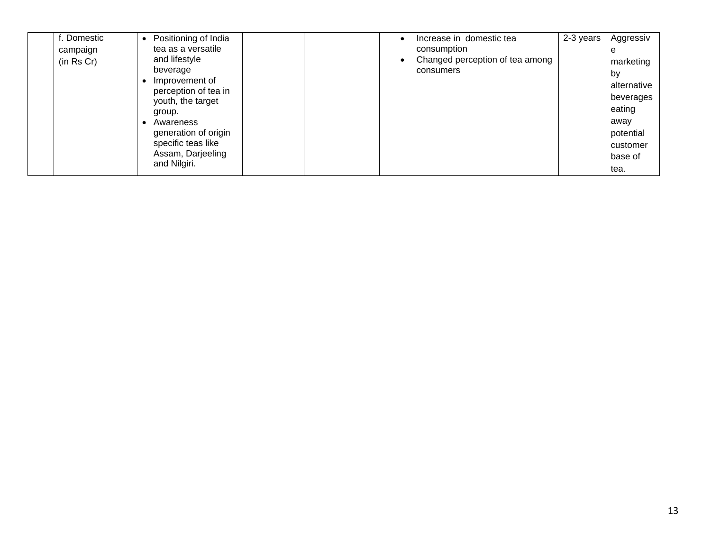| . Domestic | Positioning of India                      |  | Increase in domestic tea        | 2-3 years | Aggressiv   |
|------------|-------------------------------------------|--|---------------------------------|-----------|-------------|
| campaign   | tea as a versatile                        |  | consumption                     |           | e           |
| (in Rs Cr) | and lifestyle                             |  | Changed perception of tea among |           | marketing   |
|            | beverage                                  |  | consumers                       |           | by          |
|            | Improvement of                            |  |                                 |           | alternative |
|            | perception of tea in<br>youth, the target |  |                                 |           | beverages   |
|            | group.                                    |  |                                 |           | eating      |
|            | Awareness                                 |  |                                 |           | away        |
|            | generation of origin                      |  |                                 |           | potential   |
|            | specific teas like                        |  |                                 |           | customer    |
|            | Assam, Darjeeling                         |  |                                 |           | base of     |
|            | and Nilgiri.                              |  |                                 |           | tea.        |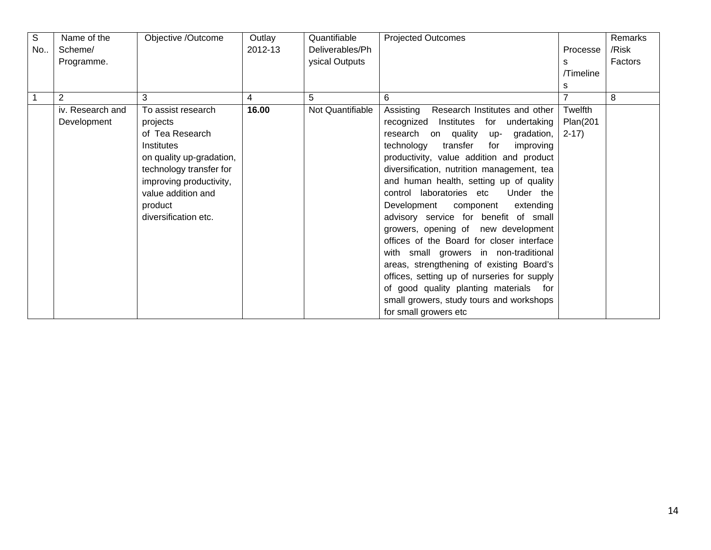| $\mathbb S$ | Name of the      | Objective /Outcome       | Outlay  | Quantifiable     | <b>Projected Outcomes</b>                   |                | Remarks |
|-------------|------------------|--------------------------|---------|------------------|---------------------------------------------|----------------|---------|
| No          | Scheme/          |                          | 2012-13 | Deliverables/Ph  |                                             | Processe       | /Risk   |
|             | Programme.       |                          |         | ysical Outputs   |                                             | s              | Factors |
|             |                  |                          |         |                  |                                             | /Timeline      |         |
|             |                  |                          |         |                  |                                             | s              |         |
|             | 2                | 3                        | 4       | 5                | 6                                           | $\overline{7}$ | 8       |
|             | iv. Research and | To assist research       | 16.00   | Not Quantifiable | Research Institutes and other<br>Assisting  | Twelfth        |         |
|             | Development      | projects                 |         |                  | recognized Institutes for undertaking       | Plan(201       |         |
|             |                  | of Tea Research          |         |                  | research on quality<br>gradation,<br>up-    | $2-17$         |         |
|             |                  | Institutes               |         |                  | technology<br>transfer<br>for<br>improving  |                |         |
|             |                  | on quality up-gradation, |         |                  | productivity, value addition and product    |                |         |
|             |                  | technology transfer for  |         |                  | diversification, nutrition management, tea  |                |         |
|             |                  | improving productivity,  |         |                  | and human health, setting up of quality     |                |         |
|             |                  | value addition and       |         |                  | control laboratories etc<br>Under the       |                |         |
|             |                  | product                  |         |                  | Development component<br>extending          |                |         |
|             |                  | diversification etc.     |         |                  | advisory service for benefit of small       |                |         |
|             |                  |                          |         |                  | growers, opening of new development         |                |         |
|             |                  |                          |         |                  | offices of the Board for closer interface   |                |         |
|             |                  |                          |         |                  | with small growers in non-traditional       |                |         |
|             |                  |                          |         |                  | areas, strengthening of existing Board's    |                |         |
|             |                  |                          |         |                  | offices, setting up of nurseries for supply |                |         |
|             |                  |                          |         |                  | of good quality planting materials for      |                |         |
|             |                  |                          |         |                  | small growers, study tours and workshops    |                |         |
|             |                  |                          |         |                  | for small growers etc                       |                |         |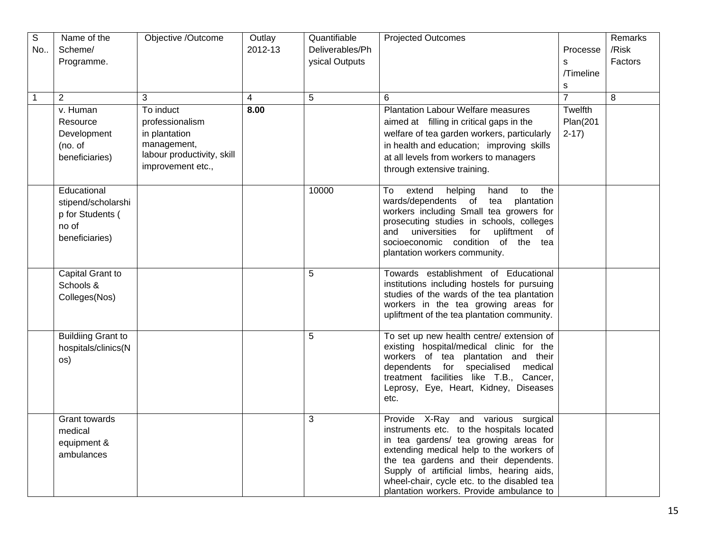| $\overline{S}$ | Name of the                   | Objective /Outcome         | Outlay         | Quantifiable    | <b>Projected Outcomes</b>                                                               |                | Remarks |
|----------------|-------------------------------|----------------------------|----------------|-----------------|-----------------------------------------------------------------------------------------|----------------|---------|
| No             | Scheme/                       |                            | 2012-13        | Deliverables/Ph |                                                                                         | Processe       | /Risk   |
|                | Programme.                    |                            |                | ysical Outputs  |                                                                                         | s              | Factors |
|                |                               |                            |                |                 |                                                                                         | /Timeline      |         |
|                |                               |                            |                |                 |                                                                                         | s              |         |
| 1              | $\overline{2}$                | 3                          | $\overline{4}$ | 5               | 6                                                                                       | $\overline{7}$ | 8       |
|                | v. Human                      | To induct                  | 8.00           |                 | <b>Plantation Labour Welfare measures</b>                                               | Twelfth        |         |
|                | Resource                      | professionalism            |                |                 | aimed at filling in critical gaps in the                                                | Plan(201       |         |
|                | Development                   | in plantation              |                |                 | welfare of tea garden workers, particularly                                             | $2-17$         |         |
|                | (no. of                       | management,                |                |                 | in health and education; improving skills                                               |                |         |
|                | beneficiaries)                | labour productivity, skill |                |                 | at all levels from workers to managers                                                  |                |         |
|                |                               | improvement etc.,          |                |                 | through extensive training.                                                             |                |         |
|                |                               |                            |                |                 |                                                                                         |                |         |
|                | Educational                   |                            |                | 10000           | extend helping<br>hand<br>to<br>the<br>To                                               |                |         |
|                | stipend/scholarshi            |                            |                |                 | wards/dependents of tea<br>plantation<br>workers including Small tea growers for        |                |         |
|                | p for Students (              |                            |                |                 | prosecuting studies in schools, colleges                                                |                |         |
|                | no of                         |                            |                |                 | universities<br>upliftment<br>for<br>of<br>and                                          |                |         |
|                | beneficiaries)                |                            |                |                 | socioeconomic condition of the tea                                                      |                |         |
|                |                               |                            |                |                 | plantation workers community.                                                           |                |         |
|                |                               |                            |                |                 |                                                                                         |                |         |
|                | Capital Grant to<br>Schools & |                            |                | 5               | Towards establishment of Educational<br>institutions including hostels for pursuing     |                |         |
|                |                               |                            |                |                 | studies of the wards of the tea plantation                                              |                |         |
|                | Colleges(Nos)                 |                            |                |                 | workers in the tea growing areas for                                                    |                |         |
|                |                               |                            |                |                 | upliftment of the tea plantation community.                                             |                |         |
|                |                               |                            |                |                 |                                                                                         |                |         |
|                | <b>Building Grant to</b>      |                            |                | 5               | To set up new health centre/ extension of<br>existing hospital/medical clinic for the   |                |         |
|                | hospitals/clinics(N           |                            |                |                 | workers of tea plantation and their                                                     |                |         |
|                | os)                           |                            |                |                 | dependents for specialised medical                                                      |                |         |
|                |                               |                            |                |                 | treatment facilities like T.B., Cancer,                                                 |                |         |
|                |                               |                            |                |                 | Leprosy, Eye, Heart, Kidney, Diseases                                                   |                |         |
|                |                               |                            |                |                 | etc.                                                                                    |                |         |
|                | Grant towards                 |                            |                | 3               | Provide X-Ray and various surgical                                                      |                |         |
|                | medical                       |                            |                |                 | instruments etc. to the hospitals located                                               |                |         |
|                | equipment &                   |                            |                |                 | in tea gardens/ tea growing areas for                                                   |                |         |
|                | ambulances                    |                            |                |                 | extending medical help to the workers of                                                |                |         |
|                |                               |                            |                |                 | the tea gardens and their dependents.                                                   |                |         |
|                |                               |                            |                |                 | Supply of artificial limbs, hearing aids,                                               |                |         |
|                |                               |                            |                |                 | wheel-chair, cycle etc. to the disabled tea<br>plantation workers. Provide ambulance to |                |         |
|                |                               |                            |                |                 |                                                                                         |                |         |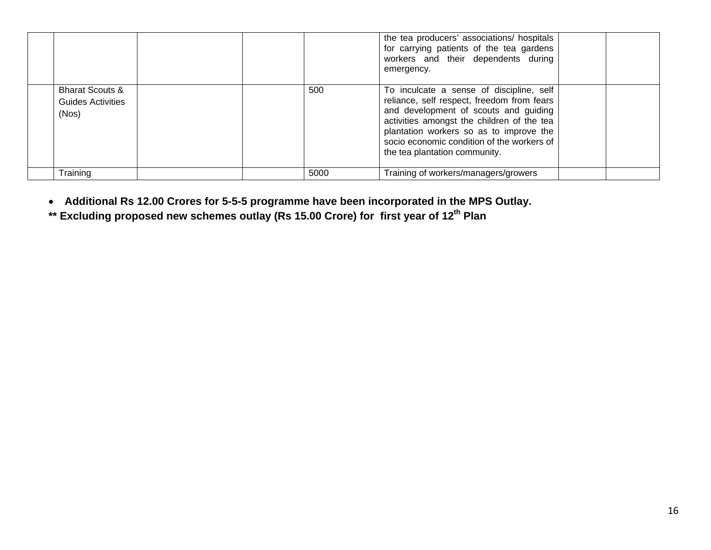|                                                          |      | the tea producers' associations/ hospitals<br>for carrying patients of the tea gardens<br>workers and their dependents during<br>emergency.                                                                                                                                                             |
|----------------------------------------------------------|------|---------------------------------------------------------------------------------------------------------------------------------------------------------------------------------------------------------------------------------------------------------------------------------------------------------|
| <b>Bharat Scouts &amp;</b><br>Guides Activities<br>(Nos) | 500  | To inculcate a sense of discipline, self<br>reliance, self respect, freedom from fears<br>and development of scouts and guiding<br>activities amongst the children of the tea<br>plantation workers so as to improve the<br>socio economic condition of the workers of<br>the tea plantation community. |
| Training                                                 | 5000 | Training of workers/managers/growers                                                                                                                                                                                                                                                                    |

• **Additional Rs 12.00 Crores for 5-5-5 programme have been incorporated in the MPS Outlay.** 

**\*\* Excluding proposed new schemes outlay (Rs 15.00 Crore) for first year of 12th Plan**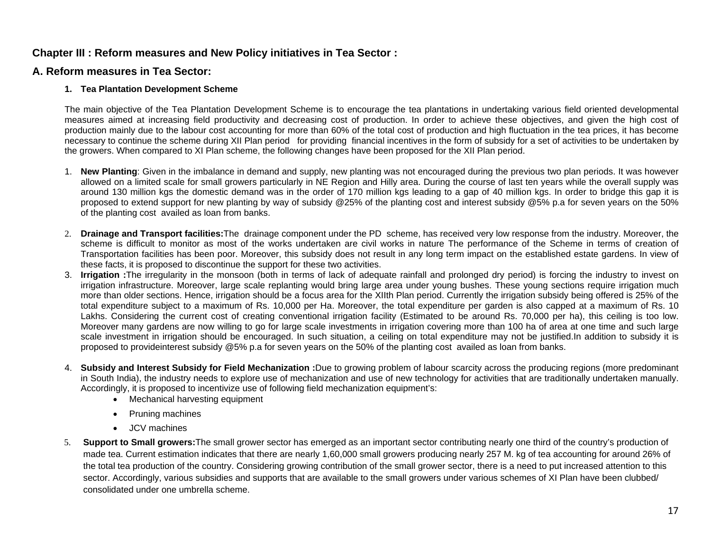### **Chapter III : Reform measures and New Policy initiatives in Tea Sector :**

### **A. Reform measures in Tea Sector:**

#### **1. Tea Plantation Development Scheme**

The main objective of the Tea Plantation Development Scheme is to encourage the tea plantations in undertaking various field oriented developmental measures aimed at increasing field productivity and decreasing cost of production. In order to achieve these objectives, and given the high cost of production mainly due to the labour cost accounting for more than 60% of the total cost of production and high fluctuation in the tea prices, it has become necessary to continue the scheme during XII Plan period for providing financial incentives in the form of subsidy for a set of activities to be undertaken by the growers. When compared to XI Plan scheme, the following changes have been proposed for the XII Plan period.

- 1. **New Planting**: Given in the imbalance in demand and supply, new planting was not encouraged during the previous two plan periods. It was however allowed on a limited scale for small growers particularly in NE Region and Hilly area. During the course of last ten years while the overall supply was around 130 million kgs the domestic demand was in the order of 170 million kgs leading to a gap of 40 million kgs. In order to bridge this gap it is proposed to extend support for new planting by way of subsidy @25% of the planting cost and interest subsidy @5% p.a for seven years on the 50% of the planting cost availed as loan from banks.
- 2. **Drainage and Transport facilities:**The drainage component under the PD scheme, has received very low response from the industry. Moreover, the scheme is difficult to monitor as most of the works undertaken are civil works in nature The performance of the Scheme in terms of creation of Transportation facilities has been poor. Moreover, this subsidy does not result in any long term impact on the established estate gardens. In view of these facts, it is proposed to discontinue the support for these two activities.
- 3. **Irrigation :**The irregularity in the monsoon (both in terms of lack of adequate rainfall and prolonged dry period) is forcing the industry to invest on irrigation infrastructure. Moreover, large scale replanting would bring large area under young bushes. These young sections require irrigation much more than older sections. Hence, irrigation should be a focus area for the XIIth Plan period. Currently the irrigation subsidy being offered is 25% of the total expenditure subject to a maximum of Rs. 10,000 per Ha. Moreover, the total expenditure per garden is also capped at a maximum of Rs. 10 Lakhs. Considering the current cost of creating conventional irrigation facility (Estimated to be around Rs. 70,000 per ha), this ceiling is too low. Moreover many gardens are now willing to go for large scale investments in irrigation covering more than 100 ha of area at one time and such large scale investment in irrigation should be encouraged. In such situation, a ceiling on total expenditure may not be justified.In addition to subsidy it is proposed to provideinterest subsidy @5% p.a for seven years on the 50% of the planting cost availed as loan from banks.
- 4. **Subsidy and Interest Subsidy for Field Mechanization :**Due to growing problem of labour scarcity across the producing regions (more predominant in South India), the industry needs to explore use of mechanization and use of new technology for activities that are traditionally undertaken manually. Accordingly, it is proposed to incentivize use of following field mechanization equipment's:
	- Mechanical harvesting equipment
	- Pruning machines
	- JCV machines
- 5. **Support to Small growers:**The small grower sector has emerged as an important sector contributing nearly one third of the country's production of made tea. Current estimation indicates that there are nearly 1,60,000 small growers producing nearly 257 M. kg of tea accounting for around 26% of the total tea production of the country. Considering growing contribution of the small grower sector, there is a need to put increased attention to this sector. Accordingly, various subsidies and supports that are available to the small growers under various schemes of XI Plan have been clubbed/ consolidated under one umbrella scheme.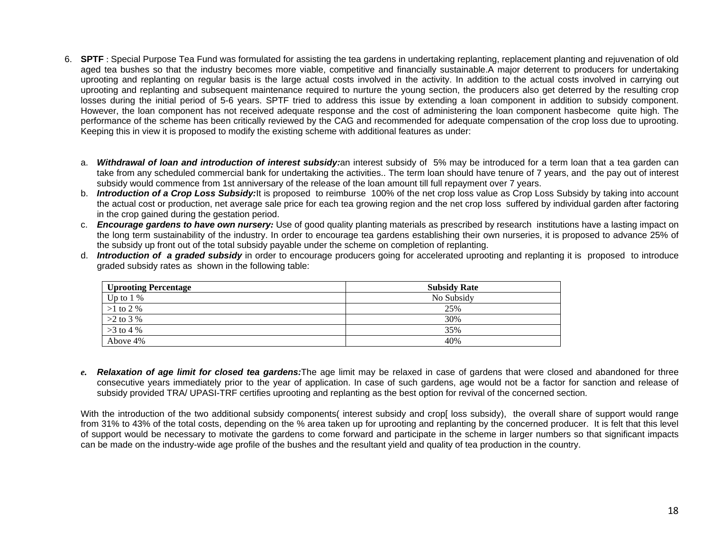- 6. **SPTF** : Special Purpose Tea Fund was formulated for assisting the tea gardens in undertaking replanting, replacement planting and rejuvenation of old aged tea bushes so that the industry becomes more viable, competitive and financially sustainable.A major deterrent to producers for undertaking uprooting and replanting on regular basis is the large actual costs involved in the activity. In addition to the actual costs involved in carrying out uprooting and replanting and subsequent maintenance required to nurture the young section, the producers also get deterred by the resulting crop losses during the initial period of 5-6 years. SPTF tried to address this issue by extending a loan component in addition to subsidy component. However, the loan component has not received adequate response and the cost of administering the loan component hasbecome quite high. The performance of the scheme has been critically reviewed by the CAG and recommended for adequate compensation of the crop loss due to uprooting. Keeping this in view it is proposed to modify the existing scheme with additional features as under:
	- a. *Withdrawal of loan and introduction of interest subsidy:*an interest subsidy of 5% may be introduced for a term loan that a tea garden can take from any scheduled commercial bank for undertaking the activities.. The term loan should have tenure of 7 years, and the pay out of interest subsidy would commence from 1st anniversary of the release of the loan amount till full repayment over 7 years.
	- b. *Introduction of a Crop Loss Subsidy:*It is proposed to reimburse 100% of the net crop loss value as Crop Loss Subsidy by taking into account the actual cost or production, net average sale price for each tea growing region and the net crop loss suffered by individual garden after factoring in the crop gained during the gestation period.
	- c. *Encourage gardens to have own nursery:* Use of good quality planting materials as prescribed by research institutions have a lasting impact on the long term sustainability of the industry. In order to encourage tea gardens establishing their own nurseries, it is proposed to advance 25% of the subsidy up front out of the total subsidy payable under the scheme on completion of replanting.
	- d. *Introduction of a graded subsidy* in order to encourage producers going for accelerated uprooting and replanting it is proposed to introduce graded subsidy rates as shown in the following table:

| <b>Uprooting Percentage</b> | <b>Subsidy Rate</b> |
|-----------------------------|---------------------|
| Up to $1\%$                 | No Subsidy          |
| $>1$ to 2 %                 | 25%                 |
| $>2$ to 3 %                 | 30%                 |
| $>3$ to 4 %                 | 35%                 |
| Above 4%                    | 40%                 |

*e. Relaxation of age limit for closed tea gardens:*The age limit may be relaxed in case of gardens that were closed and abandoned for three consecutive years immediately prior to the year of application. In case of such gardens, age would not be a factor for sanction and release of subsidy provided TRA/ UPASI-TRF certifies uprooting and replanting as the best option for revival of the concerned section.

With the introduction of the two additional subsidy components interest subsidy and crop loss subsidy), the overall share of support would range from 31% to 43% of the total costs, depending on the % area taken up for uprooting and replanting by the concerned producer. It is felt that this level of support would be necessary to motivate the gardens to come forward and participate in the scheme in larger numbers so that significant impacts can be made on the industry-wide age profile of the bushes and the resultant yield and quality of tea production in the country.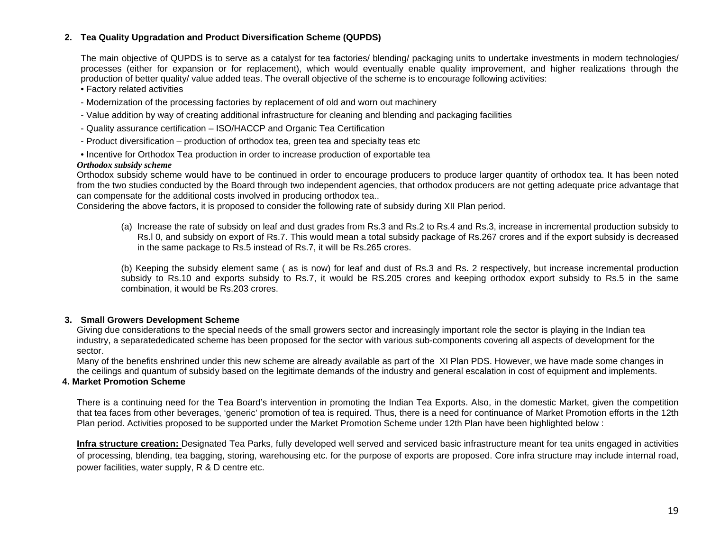#### **2. Tea Quality Upgradation and Product Diversification Scheme (QUPDS)**

The main objective of QUPDS is to serve as a catalyst for tea factories/ blending/ packaging units to undertake investments in modern technologies/ processes (either for expansion or for replacement), which would eventually enable quality improvement, and higher realizations through the production of better quality/ value added teas. The overall objective of the scheme is to encourage following activities:

• Factory related activities

- Modernization of the processing factories by replacement of old and worn out machinery
- Value addition by way of creating additional infrastructure for cleaning and blending and packaging facilities
- Quality assurance certification ISO/HACCP and Organic Tea Certification
- Product diversification production of orthodox tea, green tea and specialty teas etc
- Incentive for Orthodox Tea production in order to increase production of exportable tea

#### *Orthodox subsidy scheme*

Orthodox subsidy scheme would have to be continued in order to encourage producers to produce larger quantity of orthodox tea. It has been noted from the two studies conducted by the Board through two independent agencies, that orthodox producers are not getting adequate price advantage that can compensate for the additional costs involved in producing orthodox tea..

Considering the above factors, it is proposed to consider the following rate of subsidy during XII Plan period.

(a) Increase the rate of subsidy on leaf and dust grades from Rs.3 and Rs.2 to Rs.4 and Rs.3, increase in incremental production subsidy to Rs.l 0, and subsidy on export of Rs.7. This would mean a total subsidy package of Rs.267 crores and if the export subsidy is decreased in the same package to Rs.5 instead of Rs.7, it will be Rs.265 crores.

(b) Keeping the subsidy element same ( as is now) for leaf and dust of Rs.3 and Rs. 2 respectively, but increase incremental production subsidy to Rs.10 and exports subsidy to Rs.7, it would be RS.205 crores and keeping orthodox export subsidy to Rs.5 in the same combination, it would be Rs.203 crores.

#### **3. Small Growers Development Scheme**

Giving due considerations to the special needs of the small growers sector and increasingly important role the sector is playing in the Indian tea industry, a separatededicated scheme has been proposed for the sector with various sub-components covering all aspects of development for the sector.

Many of the benefits enshrined under this new scheme are already available as part of the XI Plan PDS. However, we have made some changes in the ceilings and quantum of subsidy based on the legitimate demands of the industry and general escalation in cost of equipment and implements.

#### **4. Market Promotion Scheme**

There is a continuing need for the Tea Board's intervention in promoting the Indian Tea Exports. Also, in the domestic Market, given the competition that tea faces from other beverages, 'generic' promotion of tea is required. Thus, there is a need for continuance of Market Promotion efforts in the 12th Plan period. Activities proposed to be supported under the Market Promotion Scheme under 12th Plan have been highlighted below :

**Infra structure creation:** Designated Tea Parks, fully developed well served and serviced basic infrastructure meant for tea units engaged in activities of processing, blending, tea bagging, storing, warehousing etc. for the purpose of exports are proposed. Core infra structure may include internal road, power facilities, water supply, R & D centre etc.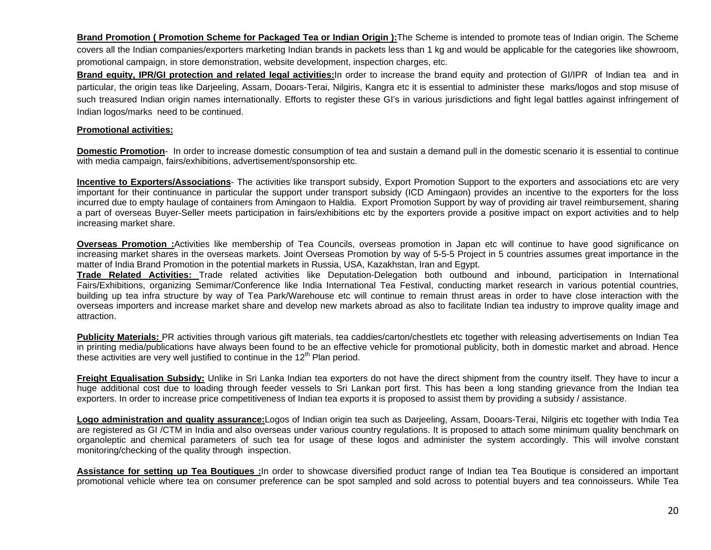**Brand Promotion ( Promotion Scheme for Packaged Tea or Indian Origin ):**The Scheme is intended to promote teas of Indian origin. The Scheme covers all the Indian companies/exporters marketing Indian brands in packets less than 1 kg and would be applicable for the categories like showroom, promotional campaign, in store demonstration, website development, inspection charges, etc.

**Brand equity, IPR/GI protection and related legal activities:**In order to increase the brand equity and protection of GI/IPR of Indian tea and in particular, the origin teas like Darjeeling, Assam, Dooars-Terai, Nilgiris, Kangra etc it is essential to administer these marks/logos and stop misuse of such treasured Indian origin names internationally. Efforts to register these GI's in various jurisdictions and fight legal battles against infringement of Indian logos/marks need to be continued.

#### **Promotional activities:**

**Domestic Promotion**- In order to increase domestic consumption of tea and sustain a demand pull in the domestic scenario it is essential to continue with media campaign, fairs/exhibitions, advertisement/sponsorship etc.

**Incentive to Exporters/Associations**- The activities like transport subsidy, Export Promotion Support to the exporters and associations etc are very important for their continuance in particular the support under transport subsidy (ICD Amingaon) provides an incentive to the exporters for the loss incurred due to empty haulage of containers from Amingaon to Haldia. Export Promotion Support by way of providing air travel reimbursement, sharing a part of overseas Buyer-Seller meets participation in fairs/exhibitions etc by the exporters provide a positive impact on export activities and to help increasing market share.

**Overseas Promotion :**Activities like membership of Tea Councils, overseas promotion in Japan etc will continue to have good significance on increasing market shares in the overseas markets. Joint Overseas Promotion by way of 5-5-5 Project in 5 countries assumes great importance in the matter of India Brand Promotion in the potential markets in Russia, USA, Kazakhstan, Iran and Egypt.

**Trade Related Activities:** Trade related activities like Deputation-Delegation both outbound and inbound, participation in International Fairs/Exhibitions, organizing Semimar/Conference like India International Tea Festival, conducting market research in various potential countries, building up tea infra structure by way of Tea Park/Warehouse etc will continue to remain thrust areas in order to have close interaction with the overseas importers and increase market share and develop new markets abroad as also to facilitate Indian tea industry to improve quality image and attraction.

**Publicity Materials:** PR activities through various gift materials, tea caddies/carton/chestlets etc together with releasing advertisements on Indian Tea in printing media/publications have always been found to be an effective vehicle for promotional publicity, both in domestic market and abroad. Hence these activities are very well justified to continue in the  $12<sup>th</sup>$  Plan period.

**Freight Equalisation Subsidy:** Unlike in Sri Lanka Indian tea exporters do not have the direct shipment from the country itself. They have to incur a huge additional cost due to loading through feeder vessels to Sri Lankan port first. This has been a long standing grievance from the Indian tea exporters. In order to increase price competitiveness of Indian tea exports it is proposed to assist them by providing a subsidy / assistance.

**Logo administration and quality assurance:**Logos of Indian origin tea such as Darjeeling, Assam, Dooars-Terai, Nilgiris etc together with India Tea are registered as GI /CTM in India and also overseas under various country regulations. It is proposed to attach some minimum quality benchmark on organoleptic and chemical parameters of such tea for usage of these logos and administer the system accordingly. This will involve constant monitoring/checking of the quality through inspection.

**Assistance for setting up Tea Boutiques :**In order to showcase diversified product range of Indian tea Tea Boutique is considered an important promotional vehicle where tea on consumer preference can be spot sampled and sold across to potential buyers and tea connoisseurs. While Tea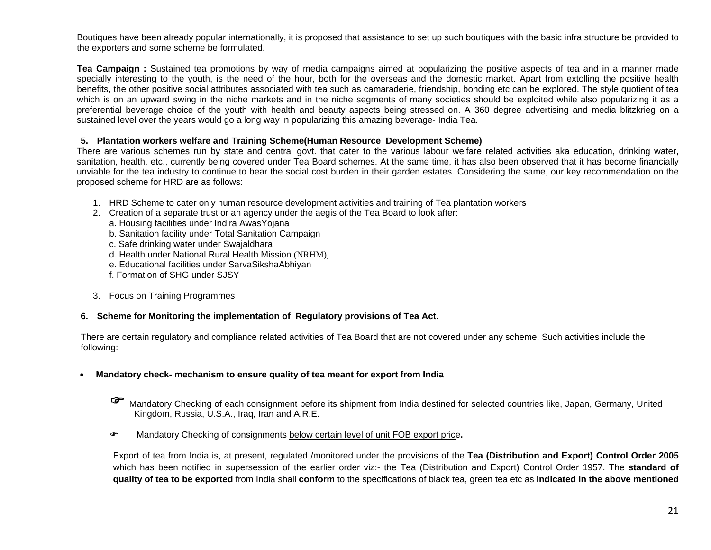Boutiques have been already popular internationally, it is proposed that assistance to set up such boutiques with the basic infra structure be provided to the exporters and some scheme be formulated.

**Tea Campaign :** Sustained tea promotions by way of media campaigns aimed at popularizing the positive aspects of tea and in a manner made specially interesting to the youth, is the need of the hour, both for the overseas and the domestic market. Apart from extolling the positive health benefits, the other positive social attributes associated with tea such as camaraderie, friendship, bonding etc can be explored. The style quotient of tea which is on an upward swing in the niche markets and in the niche segments of many societies should be exploited while also popularizing it as a preferential beverage choice of the youth with health and beauty aspects being stressed on. A 360 degree advertising and media blitzkrieg on a sustained level over the years would go a long way in popularizing this amazing beverage- India Tea.

#### **5. Plantation workers welfare and Training Scheme(Human Resource Development Scheme)**

There are various schemes run by state and central govt. that cater to the various labour welfare related activities aka education, drinking water, sanitation, health, etc., currently being covered under Tea Board schemes. At the same time, it has also been observed that it has become financially unviable for the tea industry to continue to bear the social cost burden in their garden estates. Considering the same, our key recommendation on the proposed scheme for HRD are as follows:

- 1. HRD Scheme to cater only human resource development activities and training of Tea plantation workers
- 2. Creation of a separate trust or an agency under the aegis of the Tea Board to look after:
	- a. Housing facilities under Indira AwasYojana
	- b. Sanitation facility under Total Sanitation Campaign
	- c. Safe drinking water under Swajaldhara
	- d. Health under National Rural Health Mission (NRHM),
	- e. Educational facilities under SarvaSikshaAbhiyan
	- f. Formation of SHG under SJSY
- 3. Focus on Training Programmes

#### **6. Scheme for Monitoring the implementation of Regulatory provisions of Tea Act.**

There are certain regulatory and compliance related activities of Tea Board that are not covered under any scheme. Such activities include the following:

- • **Mandatory check- mechanism to ensure quality of tea meant for export from India**
	- Mandatory Checking of each consignment before its shipment from India destined for selected countries like, Japan, Germany, United Kingdom, Russia, U.S.A., Iraq, Iran and A.R.E.
	- **☞** Mandatory Checking of consignments <u>below certain level of unit FOB export pric</u>e.

Export of tea from India is, at present, regulated /monitored under the provisions of the **Tea (Distribution and Export) Control Order 2005** which has been notified in supersession of the earlier order viz:- the Tea (Distribution and Export) Control Order 1957. The **standard of quality of tea to be exported** from India shall **conform** to the specifications of black tea, green tea etc as **indicated in the above mentioned**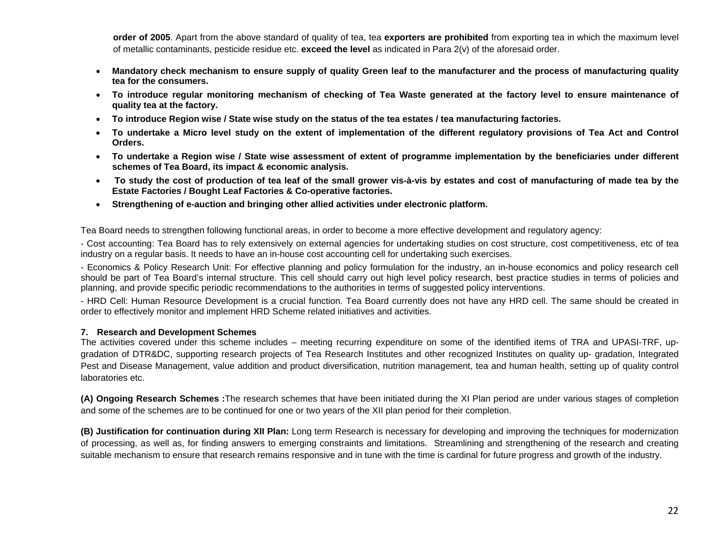**order of 2005**. Apart from the above standard of quality of tea, tea **exporters are prohibited** from exporting tea in which the maximum level of metallic contaminants, pesticide residue etc. **exceed the level** as indicated in Para 2(v) of the aforesaid order.

- • **Mandatory check mechanism to ensure supply of quality Green leaf to the manufacturer and the process of manufacturing quality tea for the consumers.**
- **To introduce regular monitoring mechanism of checking of Tea Waste generated at the factory level to ensure maintenance of quality tea at the factory.**
- **To introduce Region wise / State wise study on the status of the tea estates / tea manufacturing factories.**
- **To undertake a Micro level study on the extent of implementation of the different regulatory provisions of Tea Act and Control Orders.**
- **To undertake a Region wise / State wise assessment of extent of programme implementation by the beneficiaries under different schemes of Tea Board, its impact & economic analysis.**
- • **To study the cost of production of tea leaf of the small grower vis-à-vis by estates and cost of manufacturing of made tea by the Estate Factories / Bought Leaf Factories & Co-operative factories.**
- **Strengthening of e-auction and bringing other allied activities under electronic platform.**

Tea Board needs to strengthen following functional areas, in order to become a more effective development and regulatory agency:

- Cost accounting: Tea Board has to rely extensively on external agencies for undertaking studies on cost structure, cost competitiveness, etc of tea industry on a regular basis. It needs to have an in-house cost accounting cell for undertaking such exercises.

- Economics & Policy Research Unit: For effective planning and policy formulation for the industry, an in-house economics and policy research cell should be part of Tea Board's internal structure. This cell should carry out high level policy research, best practice studies in terms of policies and planning, and provide specific periodic recommendations to the authorities in terms of suggested policy interventions.

- HRD Cell: Human Resource Development is a crucial function. Tea Board currently does not have any HRD cell. The same should be created in order to effectively monitor and implement HRD Scheme related initiatives and activities.

#### **7. Research and Development Schemes**

The activities covered under this scheme includes – meeting recurring expenditure on some of the identified items of TRA and UPASI-TRF, upgradation of DTR&DC, supporting research projects of Tea Research Institutes and other recognized Institutes on quality up- gradation, Integrated Pest and Disease Management, value addition and product diversification, nutrition management, tea and human health, setting up of quality control laboratories etc.

**(A) Ongoing Research Schemes :**The research schemes that have been initiated during the XI Plan period are under various stages of completion and some of the schemes are to be continued for one or two years of the XII plan period for their completion.

**(B) Justification for continuation during XII Plan:** Long term Research is necessary for developing and improving the techniques for modernization of processing, as well as, for finding answers to emerging constraints and limitations. Streamlining and strengthening of the research and creating suitable mechanism to ensure that research remains responsive and in tune with the time is cardinal for future progress and growth of the industry.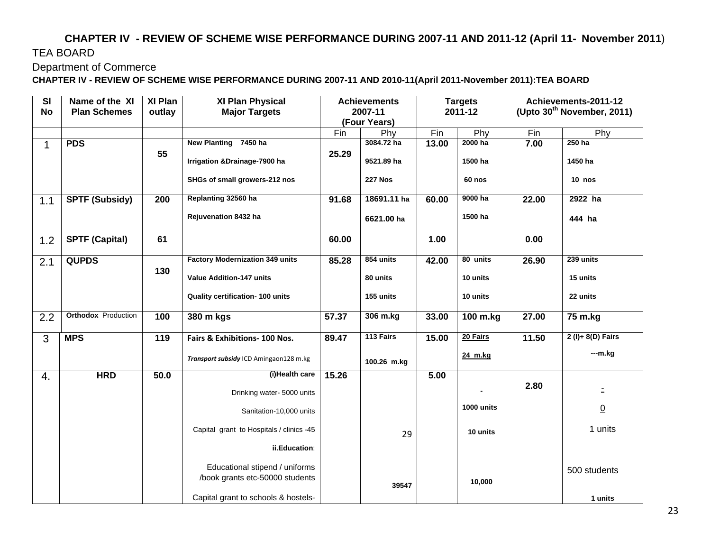# **CHAPTER IV - REVIEW OF SCHEME WISE PERFORMANCE DURING 2007-11 AND 2011-12 (April 11- November 2011**) TEA BOARD

#### Department of Commerce

**CHAPTER IV - REVIEW OF SCHEME WISE PERFORMANCE DURING 2007-11 AND 2010-11(April 2011-November 2011):TEA BOARD** 

| SI          | Name of the XI             | XI Plan | XI Plan Physical                         | <b>Achievements</b> |                | <b>Targets</b> |            | Achievements-2011-12 |                                 |
|-------------|----------------------------|---------|------------------------------------------|---------------------|----------------|----------------|------------|----------------------|---------------------------------|
| <b>No</b>   | <b>Plan Schemes</b>        | outlay  | <b>Major Targets</b>                     |                     | 2007-11        |                | 2011-12    |                      | (Upto $30^{th}$ November, 2011) |
|             |                            |         |                                          |                     | (Four Years)   |                |            |                      |                                 |
|             |                            |         |                                          | Fin                 | Phy            | Fin            | Phy        | Fin                  | Phy                             |
| $\mathbf 1$ | <b>PDS</b>                 |         | New Planting 7450 ha                     |                     | 3084.72 ha     | 13.00          | 2000 ha    | 7.00                 | 250 ha                          |
|             |                            | 55      | Irrigation & Drainage-7900 ha            | 25.29               | 9521.89 ha     |                | 1500 ha    |                      | 1450 ha                         |
|             |                            |         | SHGs of small growers-212 nos            |                     | <b>227 Nos</b> |                | 60 nos     |                      | $10$ nos                        |
| 1.1         | <b>SPTF (Subsidy)</b>      | 200     | Replanting 32560 ha                      | 91.68               | 18691.11 ha    | 60.00          | 9000 ha    | 22.00                | 2922 ha                         |
|             |                            |         | Rejuvenation 8432 ha                     |                     | 6621.00 ha     |                | 1500 ha    |                      | 444 ha                          |
| 1.2         | <b>SPTF (Capital)</b>      | 61      |                                          | 60.00               |                | 1.00           |            | 0.00                 |                                 |
| 2.1         | <b>QUPDS</b>               |         | <b>Factory Modernization 349 units</b>   | 85.28               | 854 units      | 42.00          | 80 units   | 26.90                | 239 units                       |
|             |                            | 130     | <b>Value Addition-147 units</b>          |                     | 80 units       |                | 10 units   |                      | 15 units                        |
|             |                            |         | Quality certification- 100 units         |                     | 155 units      |                | 10 units   |                      | 22 units                        |
| 2.2         | <b>Orthodox</b> Production | 100     | 380 m kgs                                | 57.37               | 306 m.kg       | 33.00          | 100 m.kg   | 27.00                | 75 m.kg                         |
| 3           | <b>MPS</b>                 | 119     | Fairs & Exhibitions- 100 Nos.            | 89.47               | 113 Fairs      | 15.00          | 20 Fairs   | 11.50                | $2 (I) + 8 (D) Fairs$           |
|             |                            |         | Transport subsidy ICD Amingaon128 m.kg   |                     | 100.26 m.kg    |                | 24 m.kg    |                      | $-m.kg$                         |
| 4.          | <b>HRD</b>                 | 50.0    | (i)Health care                           | 15.26               |                | 5.00           |            |                      |                                 |
|             |                            |         | Drinking water-5000 units                |                     |                |                |            | 2.80                 |                                 |
|             |                            |         | Sanitation-10,000 units                  |                     |                |                | 1000 units |                      | $\underline{0}$                 |
|             |                            |         | Capital grant to Hospitals / clinics -45 |                     | 29             |                | 10 units   |                      | 1 units                         |
|             |                            |         | ii.Education:                            |                     |                |                |            |                      |                                 |
|             |                            |         | Educational stipend / uniforms           |                     |                |                |            |                      | 500 students                    |
|             |                            |         | /book grants etc-50000 students          |                     | 39547          |                | 10,000     |                      |                                 |
|             |                            |         | Capital grant to schools & hostels-      |                     |                |                |            |                      | 1 units                         |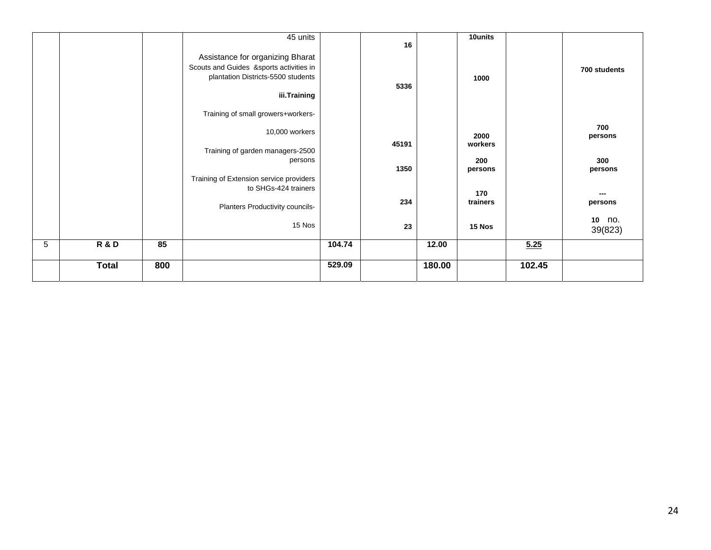|   |                |     | 45 units<br>Assistance for organizing Bharat<br>Scouts and Guides &sports activities in<br>plantation Districts-5500 students<br>iii.Training |        | 16<br>5336 |        | 10units<br>1000 |        | 700 students         |
|---|----------------|-----|-----------------------------------------------------------------------------------------------------------------------------------------------|--------|------------|--------|-----------------|--------|----------------------|
|   |                |     | Training of small growers+workers-                                                                                                            |        |            |        |                 |        |                      |
|   |                |     | 10,000 workers                                                                                                                                |        | 45191      |        | 2000<br>workers |        | 700<br>persons       |
|   |                |     | Training of garden managers-2500<br>persons                                                                                                   |        | 1350       |        | 200<br>persons  |        | 300<br>persons       |
|   |                |     | Training of Extension service providers<br>to SHGs-424 trainers                                                                               |        |            |        | 170             |        | ---                  |
|   |                |     | Planters Productivity councils-                                                                                                               |        | 234        |        | trainers        |        | persons<br>10<br>no. |
|   |                |     | 15 Nos                                                                                                                                        |        | 23         |        | 15 Nos          |        | 39(823)              |
| 5 | <b>R&amp;D</b> | 85  |                                                                                                                                               | 104.74 |            | 12.00  |                 | 5.25   |                      |
|   | <b>Total</b>   | 800 |                                                                                                                                               | 529.09 |            | 180.00 |                 | 102.45 |                      |